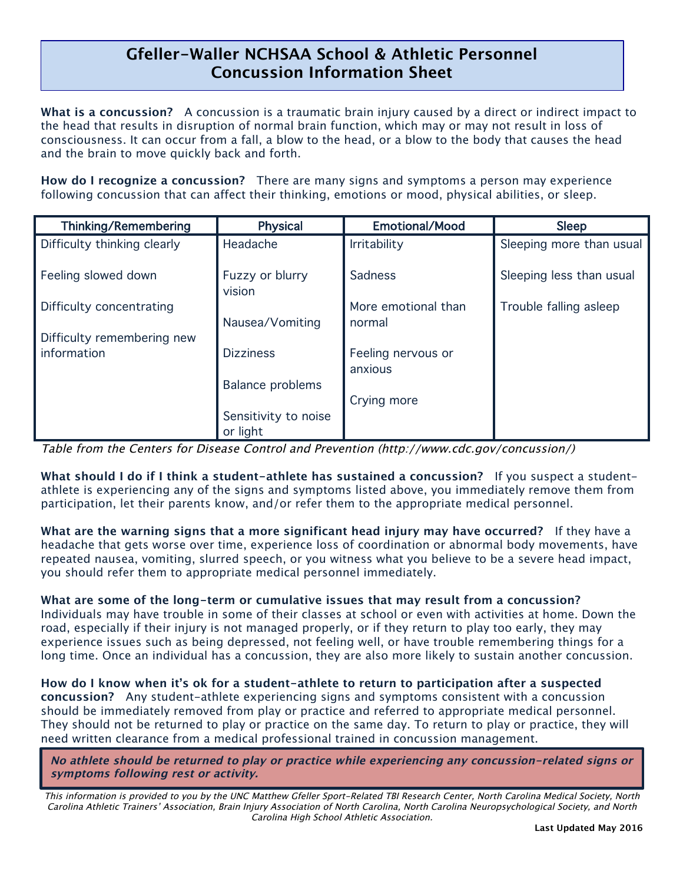## **Gfeller-Waller NCHSAA School & Athletic Personnel Concussion Information Sheet**

 $\overline{a}$ 

**What is a concussion?** A concussion is a traumatic brain injury caused by a direct or indirect impact to the head that results in disruption of normal brain function, which may or may not result in loss of consciousness. It can occur from a fall, a blow to the head, or a blow to the body that causes the head and the brain to move quickly back and forth.

**How do I recognize a concussion?** There are many signs and symptoms a person may experience following concussion that can affect their thinking, emotions or mood, physical abilities, or sleep.

| Thinking/Remembering        | <b>Physical</b>           | <b>Emotional/Mood</b>         | <b>Sleep</b>             |
|-----------------------------|---------------------------|-------------------------------|--------------------------|
| Difficulty thinking clearly | Headache                  | <b>Irritability</b>           | Sleeping more than usual |
| Feeling slowed down         | Fuzzy or blurry<br>vision | Sadness                       | Sleeping less than usual |
| Difficulty concentrating    | Nausea/Vomiting           | More emotional than<br>normal | Trouble falling asleep   |
| Difficulty remembering new  |                           |                               |                          |
| information                 | <b>Dizziness</b>          | Feeling nervous or<br>anxious |                          |
|                             | <b>Balance problems</b>   |                               |                          |
|                             |                           | Crying more                   |                          |
|                             | Sensitivity to noise      |                               |                          |
|                             | or light                  |                               |                          |

Table from the Centers for Disease Control and Prevention (http://www.cdc.gov/concussion/)

**What should I do if I think a student-athlete has sustained a concussion?** If you suspect a studentathlete is experiencing any of the signs and symptoms listed above, you immediately remove them from participation, let their parents know, and/or refer them to the appropriate medical personnel.

**What are the warning signs that a more significant head injury may have occurred?** If they have a headache that gets worse over time, experience loss of coordination or abnormal body movements, have repeated nausea, vomiting, slurred speech, or you witness what you believe to be a severe head impact, you should refer them to appropriate medical personnel immediately.

## **What are some of the long-term or cumulative issues that may result from a concussion?**

Individuals may have trouble in some of their classes at school or even with activities at home. Down the road, especially if their injury is not managed properly, or if they return to play too early, they may experience issues such as being depressed, not feeling well, or have trouble remembering things for a long time. Once an individual has a concussion, they are also more likely to sustain another concussion.

**How do I know when it's ok for a student-athlete to return to participation after a suspected concussion?** Any student-athlete experiencing signs and symptoms consistent with a concussion should be immediately removed from play or practice and referred to appropriate medical personnel. They should not be returned to play or practice on the same day. To return to play or practice, they will need written clearance from a medical professional trained in concussion management.

**No athlete should be returned to play or practice while experiencing any concussion-related signs or symptoms following rest or activity.**

This information is provided to you by the UNC Matthew Gfeller Sport-Related TBI Research Center, North Carolina Medical Society, North Carolina Athletic Trainers' Association, Brain Injury Association of North Carolina, North Carolina Neuropsychological Society, and North Carolina High School Athletic Association.